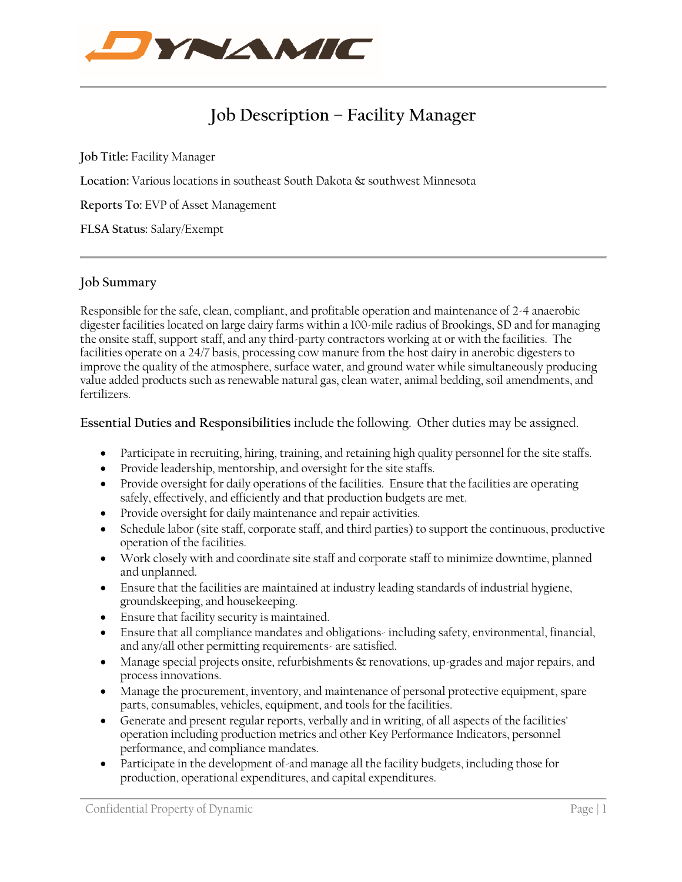

# **Job Description – Facility Manager**

**Job Title:** Facility Manager

**Location:** Various locations in southeast South Dakota & southwest Minnesota

**Reports To:** EVP of Asset Management

**FLSA Status:** Salary/Exempt

## **Job Summary**

Responsible for the safe, clean, compliant, and profitable operation and maintenance of 2-4 anaerobic digester facilities located on large dairy farms within a 100-mile radius of Brookings, SD and for managing the onsite staff, support staff, and any third-party contractors working at or with the facilities. The facilities operate on a 24/7 basis, processing cow manure from the host dairy in anerobic digesters to improve the quality of the atmosphere, surface water, and ground water while simultaneously producing value added products such as renewable natural gas, clean water, animal bedding, soil amendments, and fertilizers.

**Essential Duties and Responsibilities** include the following. Other duties may be assigned.

- Participate in recruiting, hiring, training, and retaining high quality personnel for the site staffs.
- Provide leadership, mentorship, and oversight for the site staffs.
- Provide oversight for daily operations of the facilities. Ensure that the facilities are operating safely, effectively, and efficiently and that production budgets are met.
- Provide oversight for daily maintenance and repair activities.
- Schedule labor (site staff, corporate staff, and third parties) to support the continuous, productive operation of the facilities.
- Work closely with and coordinate site staff and corporate staff to minimize downtime, planned and unplanned.
- Ensure that the facilities are maintained at industry leading standards of industrial hygiene, groundskeeping, and housekeeping.
- Ensure that facility security is maintained.
- Ensure that all compliance mandates and obligations-including safety, environmental, financial, and any/all other permitting requirements- are satisfied.
- Manage special projects onsite, refurbishments & renovations, up-grades and major repairs, and process innovations.
- Manage the procurement, inventory, and maintenance of personal protective equipment, spare parts, consumables, vehicles, equipment, and tools for the facilities.
- Generate and present regular reports, verbally and in writing, of all aspects of the facilities' operation including production metrics and other Key Performance Indicators, personnel performance, and compliance mandates.
- Participate in the development of-and manage all the facility budgets, including those for production, operational expenditures, and capital expenditures.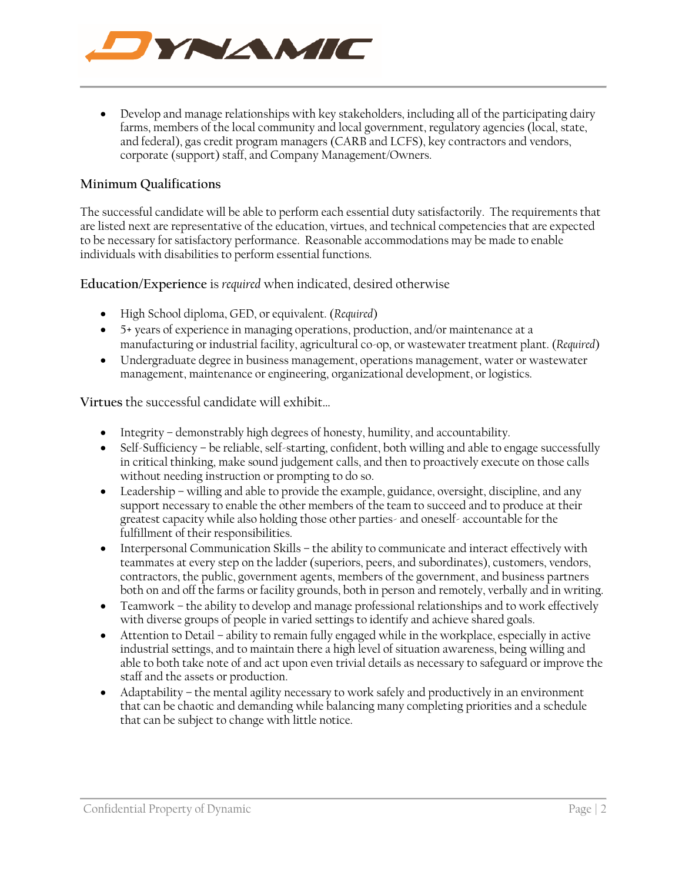

• Develop and manage relationships with key stakeholders, including all of the participating dairy farms, members of the local community and local government, regulatory agencies (local, state, and federal), gas credit program managers (CARB and LCFS), key contractors and vendors, corporate (support) staff, and Company Management/Owners.

# **Minimum Qualifications**

The successful candidate will be able to perform each essential duty satisfactorily. The requirements that are listed next are representative of the education, virtues, and technical competencies that are expected to be necessary for satisfactory performance. Reasonable accommodations may be made to enable individuals with disabilities to perform essential functions.

**Education/Experience** is *required* when indicated, desired otherwise

- High School diploma, GED, or equivalent. (*Required*)
- 5+ years of experience in managing operations, production, and/or maintenance at a manufacturing or industrial facility, agricultural co-op, or wastewater treatment plant. (*Required*)
- Undergraduate degree in business management, operations management, water or wastewater management, maintenance or engineering, organizational development, or logistics.

**Virtues** the successful candidate will exhibit…

- Integrity demonstrably high degrees of honesty, humility, and accountability.
- Self-Sufficiency be reliable, self-starting, confident, both willing and able to engage successfully in critical thinking, make sound judgement calls, and then to proactively execute on those calls without needing instruction or prompting to do so.
- Leadership willing and able to provide the example, guidance, oversight, discipline, and any support necessary to enable the other members of the team to succeed and to produce at their greatest capacity while also holding those other parties- and oneself- accountable for the fulfillment of their responsibilities.
- Interpersonal Communication Skills the ability to communicate and interact effectively with teammates at every step on the ladder (superiors, peers, and subordinates), customers, vendors, contractors, the public, government agents, members of the government, and business partners both on and off the farms or facility grounds, both in person and remotely, verbally and in writing.
- Teamwork the ability to develop and manage professional relationships and to work effectively with diverse groups of people in varied settings to identify and achieve shared goals.
- Attention to Detail ability to remain fully engaged while in the workplace, especially in active industrial settings, and to maintain there a high level of situation awareness, being willing and able to both take note of and act upon even trivial details as necessary to safeguard or improve the staff and the assets or production.
- Adaptability the mental agility necessary to work safely and productively in an environment that can be chaotic and demanding while balancing many completing priorities and a schedule that can be subject to change with little notice.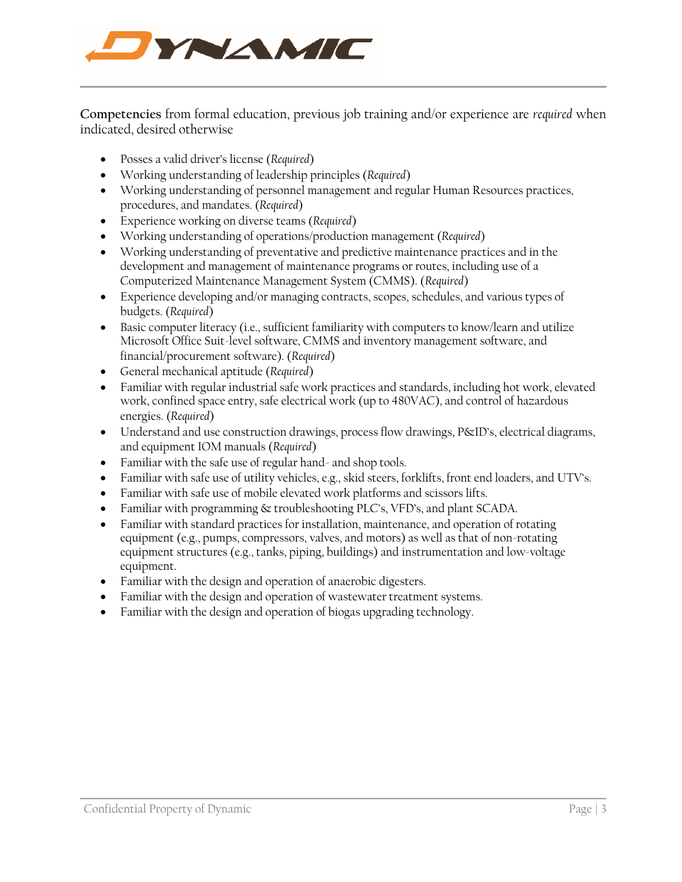

**Competencies** from formal education, previous job training and/or experience are *required* when indicated, desired otherwise

- Posses a valid driver's license (*Required*)
- Working understanding of leadership principles (*Required*)
- Working understanding of personnel management and regular Human Resources practices, procedures, and mandates. (*Required*)
- Experience working on diverse teams (*Required*)
- Working understanding of operations/production management (*Required*)
- Working understanding of preventative and predictive maintenance practices and in the development and management of maintenance programs or routes, including use of a Computerized Maintenance Management System (CMMS). (*Required*)
- Experience developing and/or managing contracts, scopes, schedules, and various types of budgets. (*Required*)
- Basic computer literacy (i.e., sufficient familiarity with computers to know/learn and utilize Microsoft Office Suit-level software, CMMS and inventory management software, and financial/procurement software). (*Required*)
- General mechanical aptitude (*Required*)
- Familiar with regular industrial safe work practices and standards, including hot work, elevated work, confined space entry, safe electrical work (up to 480VAC), and control of hazardous energies. (*Required*)
- Understand and use construction drawings, process flow drawings, P&ID's, electrical diagrams, and equipment IOM manuals (*Required*)
- Familiar with the safe use of regular hand- and shop tools.
- Familiar with safe use of utility vehicles, e.g., skid steers, forklifts, front end loaders, and UTV's.
- Familiar with safe use of mobile elevated work platforms and scissors lifts.
- Familiar with programming & troubleshooting PLC's, VFD's, and plant SCADA.
- Familiar with standard practices for installation, maintenance, and operation of rotating equipment (e.g., pumps, compressors, valves, and motors) as well as that of non-rotating equipment structures (e.g., tanks, piping, buildings) and instrumentation and low-voltage equipment.
- Familiar with the design and operation of anaerobic digesters.
- Familiar with the design and operation of wastewater treatment systems.
- Familiar with the design and operation of biogas upgrading technology.